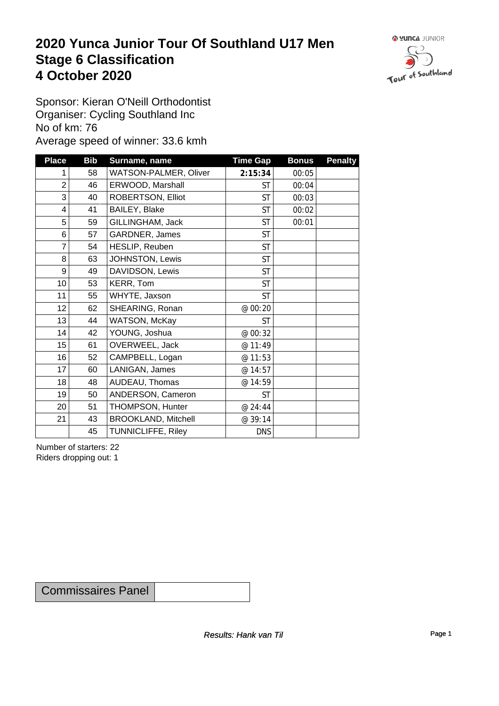### **2020 Yunca Junior Tour Of Southland U17 Men** Stage 6 Classification<br>4 October 2020 **4 October 2020**



Sponsor: Kieran O'Neill Orthodontist Organiser: Cycling Southland Inc No of km: 76 Average speed of winner: 33.6 kmh

| <b>Place</b>    | <b>Bib</b> | Surname, name              | <b>Time Gap</b> | <b>Bonus</b> | <b>Penalty</b> |
|-----------------|------------|----------------------------|-----------------|--------------|----------------|
| 1               | 58         | WATSON-PALMER, Oliver      | 2:15:34         | 00:05        |                |
| $\overline{2}$  | 46         | ERWOOD, Marshall           | <b>ST</b>       | 00:04        |                |
| 3               | 40         | ROBERTSON, Elliot          | <b>ST</b>       | 00:03        |                |
| $\overline{4}$  | 41         | BAILEY, Blake              | <b>ST</b>       | 00:02        |                |
| 5               | 59         | GILLINGHAM, Jack           | <b>ST</b>       | 00:01        |                |
| 6               | 57         | GARDNER, James             | <b>ST</b>       |              |                |
| 7               | 54         | HESLIP, Reuben             | <b>ST</b>       |              |                |
| 8               | 63         | JOHNSTON, Lewis            | <b>ST</b>       |              |                |
| 9               | 49         | DAVIDSON, Lewis            | <b>ST</b>       |              |                |
| 10 <sup>1</sup> | 53         | KERR, Tom                  | <b>ST</b>       |              |                |
| 11              | 55         | WHYTE, Jaxson              | <b>ST</b>       |              |                |
| 12              | 62         | SHEARING, Ronan            | @ 00:20         |              |                |
| 13              | 44         | WATSON, McKay              | <b>ST</b>       |              |                |
| 14              | 42         | YOUNG, Joshua              | @ 00:32         |              |                |
| 15              | 61         | OVERWEEL, Jack             | @ 11:49         |              |                |
| 16              | 52         | CAMPBELL, Logan            | @ 11:53         |              |                |
| 17              | 60         | LANIGAN, James             | @ 14:57         |              |                |
| 18              | 48         | AUDEAU, Thomas             | @ 14:59         |              |                |
| 19              | 50         | ANDERSON, Cameron          | <b>ST</b>       |              |                |
| 20              | 51         | THOMPSON, Hunter           | @ 24:44         |              |                |
| 21              | 43         | <b>BROOKLAND, Mitchell</b> | @ 39:14         |              |                |
|                 | 45         | <b>TUNNICLIFFE, Riley</b>  | <b>DNS</b>      |              |                |

Number of starters: 22 Riders dropping out: 1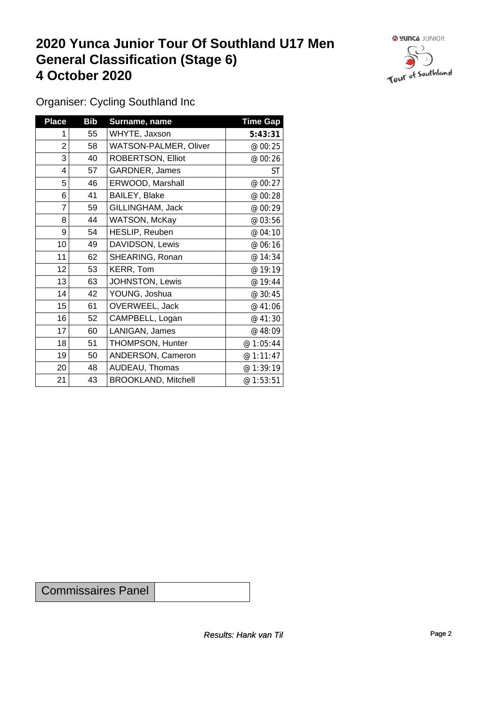## **2020 Yunca Junior Tour Of Southland U17 Men General Classification (Stage 6)**<br>
4 October 2020 **4 October 2020**



Organiser: Cycling Southland Inc

| <b>Place</b> | <b>Bib</b> | Surname, name              | <b>Time Gap</b> |
|--------------|------------|----------------------------|-----------------|
|              | 55         | WHYTE, Jaxson              | 5:43:31         |
| 2            | 58         | WATSON-PALMER, Oliver      | @ 00:25         |
| 3            | 40         | ROBERTSON, Elliot          | @ 00:26         |
| 4            | 57         | GARDNER, James             | ST              |
| 5            | 46         | ERWOOD, Marshall           | @ 00:27         |
| 6            | 41         | BAILEY, Blake              | @ 00:28         |
| 7            | 59         | GILLINGHAM, Jack           | @ 00:29         |
| 8            | 44         | WATSON, McKay              | @ 03:56         |
| 9            | 54         | HESLIP, Reuben             | @ 04:10         |
| 10           | 49         | DAVIDSON, Lewis            | @ 06:16         |
| 11           | 62         | SHEARING, Ronan            | @ 14:34         |
| 12           | 53         | KERR, Tom                  | @ 19:19         |
| 13           | 63         | JOHNSTON, Lewis            | @ 19:44         |
| 14           | 42         | YOUNG, Joshua              | @ 30:45         |
| 15           | 61         | OVERWEEL, Jack             | @ 41:06         |
| 16           | 52         | CAMPBELL, Logan            | @ 41:30         |
| 17           | 60         | LANIGAN, James             | @ 48:09         |
| 18           | 51         | THOMPSON, Hunter           | @ 1:05:44       |
| 19           | 50         | ANDERSON, Cameron          | @ 1:11:47       |
| 20           | 48         | AUDEAU, Thomas             | @ 1:39:19       |
| 21           | 43         | <b>BROOKLAND, Mitchell</b> | @1:53:51        |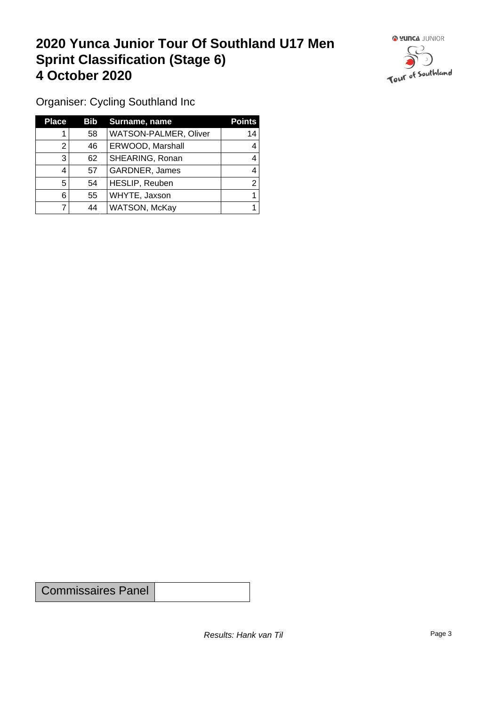## **2020 Yunca Junior Tour Of Southland U17 Men Sprint Classification (Stage 6) 4 October 2020**



Organiser: Cycling Southland Inc

| <b>Place</b> | Bib | Surname, name         | <b>Points</b> |
|--------------|-----|-----------------------|---------------|
|              | 58  | WATSON-PALMER, Oliver | 14            |
| າ            | 46  | ERWOOD, Marshall      |               |
| 3            | 62  | SHEARING, Ronan       |               |
|              | 57  | <b>GARDNER, James</b> |               |
| 5            | 54  | HESLIP, Reuben        | ⌒             |
| 6            | 55  | WHYTE, Jaxson         |               |
|              | 44  | WATSON, McKay         |               |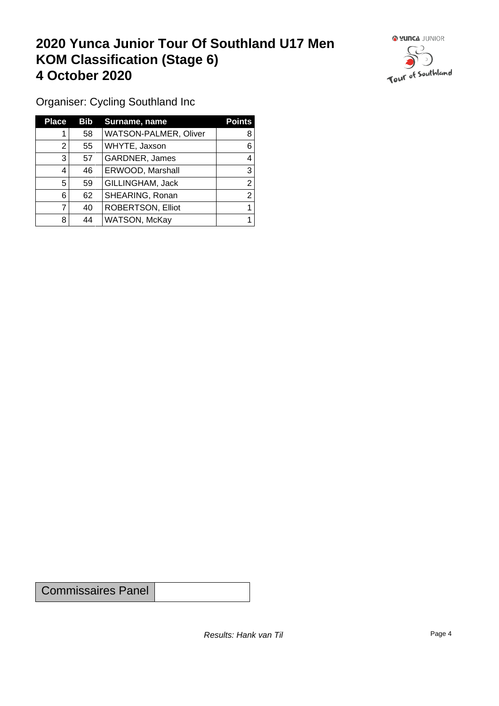## **2020 Yunca Junior Tour Of Southland U17 Men KOM Classification (Stage 6) 4 October 2020**



Organiser: Cycling Southland Inc

| <b>Place</b> | Bib | Surname, name         | <b>Points</b> |
|--------------|-----|-----------------------|---------------|
|              | 58  | WATSON-PALMER, Oliver | 8             |
| 2            | 55  | WHYTE, Jaxson         | 6             |
| 3            | 57  | GARDNER, James        | 4             |
| 4            | 46  | ERWOOD, Marshall      | 3             |
| 5            | 59  | GILLINGHAM, Jack      | 2             |
| 6            | 62  | SHEARING, Ronan       | 2             |
|              | 40  | ROBERTSON, Elliot     |               |
| 8            | 44  | WATSON, McKay         |               |